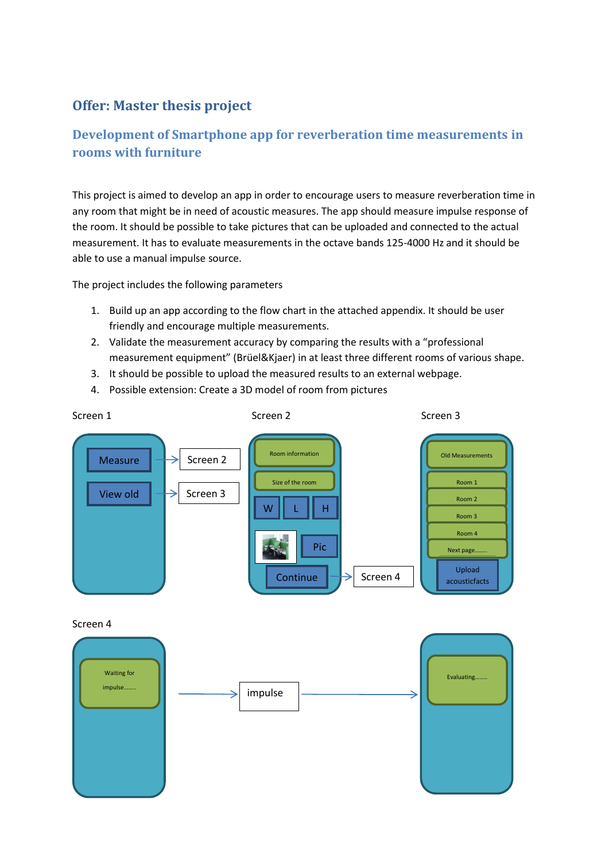## **Offer: Master thesis project**

## **Development of Smartphone app for reverberation time measurements in rooms with furniture**

This project is aimed to develop an app in order to encourage users to measure reverberation time in any room that might be in need of acoustic measures. The app should measure impulse response of the room. It should be possible to take pictures that can be uploaded and connected to the actual measurement. It has to evaluate measurements in the octave bands 125-4000 Hz and it should be able to use a manual impulse source.

The project includes the following parameters

- 1. Build up an app according to the flow chart in the attached appendix. It should be user friendly and encourage multiple measurements.
- 2. Validate the measurement accuracy by comparing the results with a "professional measurement equipment" (Brüel&Kjaer) in at least three different rooms of various shape.
- 3. It should be possible to upload the measured results to an external webpage.
- 4. Possible extension: Create a 3D model of room from pictures